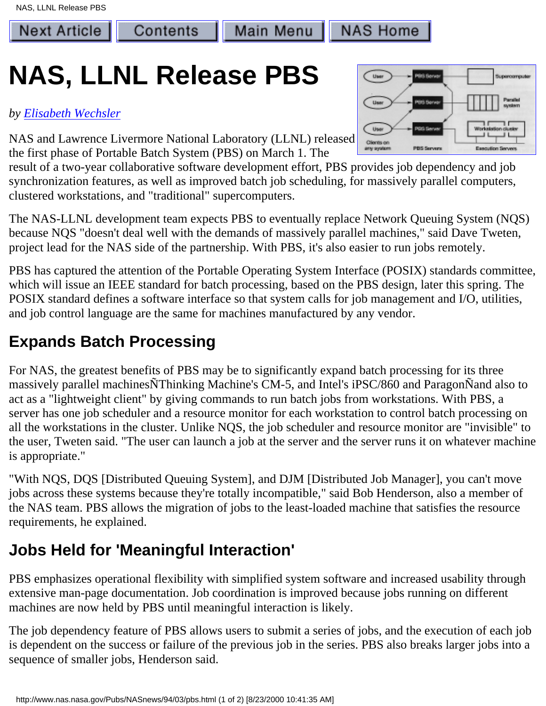**Next Article** 

**NAS Home** 

# **NAS, LLNL Release PBS**

Contents

#### *by [Elisabeth Wechsler](http://www.nas.nasa.gov/~wecshler)*

NAS and Lawrence Livermore National Laboratory (LLNL) released the first phase of Portable Batch System (PBS) on March 1. The

result of a two-year collaborative software development effort, PBS provides job dependency and job synchronization features, as well as improved batch job scheduling, for massively parallel computers, clustered workstations, and "traditional" supercomputers.

The NAS-LLNL development team expects PBS to eventually replace Network Queuing System (NQS) because NQS "doesn't deal well with the demands of massively parallel machines," said Dave Tweten, project lead for the NAS side of the partnership. With PBS, it's also easier to run jobs remotely.

PBS has captured the attention of the Portable Operating System Interface (POSIX) standards committee, which will issue an IEEE standard for batch processing, based on the PBS design, later this spring. The POSIX standard defines a software interface so that system calls for job management and I/O, utilities, and job control language are the same for machines manufactured by any vendor.

### **Expands Batch Processing**

For NAS, the greatest benefits of PBS may be to significantly expand batch processing for its three massively parallel machinesÑThinking Machine's CM-5, and Intel's iPSC/860 and ParagonÑand also to act as a "lightweight client" by giving commands to run batch jobs from workstations. With PBS, a server has one job scheduler and a resource monitor for each workstation to control batch processing on all the workstations in the cluster. Unlike NQS, the job scheduler and resource monitor are "invisible" to the user, Tweten said. "The user can launch a job at the server and the server runs it on whatever machine is appropriate."

"With NQS, DQS [Distributed Queuing System], and DJM [Distributed Job Manager], you can't move jobs across these systems because they're totally incompatible," said Bob Henderson, also a member of the NAS team. PBS allows the migration of jobs to the least-loaded machine that satisfies the resource requirements, he explained.

## **Jobs Held for 'Meaningful Interaction'**

PBS emphasizes operational flexibility with simplified system software and increased usability through extensive man-page documentation. Job coordination is improved because jobs running on different machines are now held by PBS until meaningful interaction is likely.

The job dependency feature of PBS allows users to submit a series of jobs, and the execution of each job is dependent on the success or failure of the previous job in the series. PBS also breaks larger jobs into a sequence of smaller jobs, Henderson said.